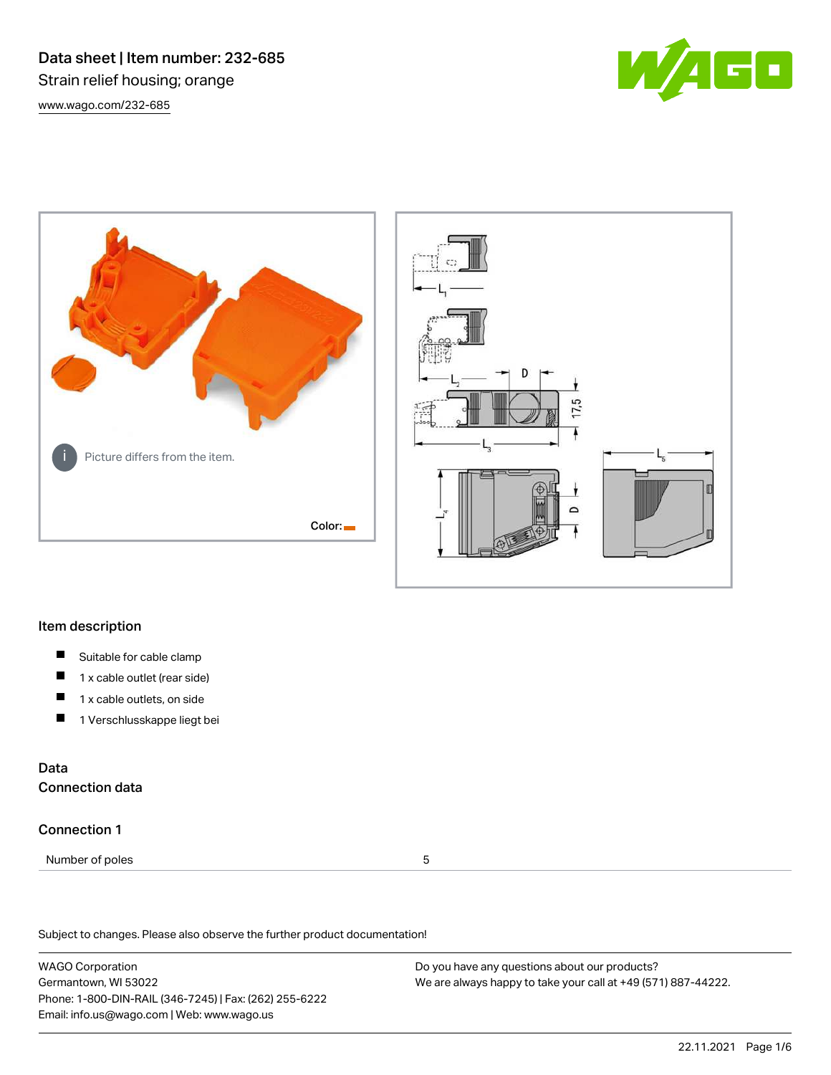Data sheet | Item number: 232-685 Strain relief housing; orange [www.wago.com/232-685](http://www.wago.com/232-685)







## Item description

- $\blacksquare$ Suitable for cable clamp
- П 1 x cable outlet (rear side)
- П 1 x cable outlets, on side
- П 1 Verschlusskappe liegt bei

## Data Connection data

### Connection 1

Number of poles 5

Subject to changes. Please also observe the further product documentation!

WAGO Corporation Germantown, WI 53022 Phone: 1-800-DIN-RAIL (346-7245) | Fax: (262) 255-6222 Email: info.us@wago.com | Web: www.wago.us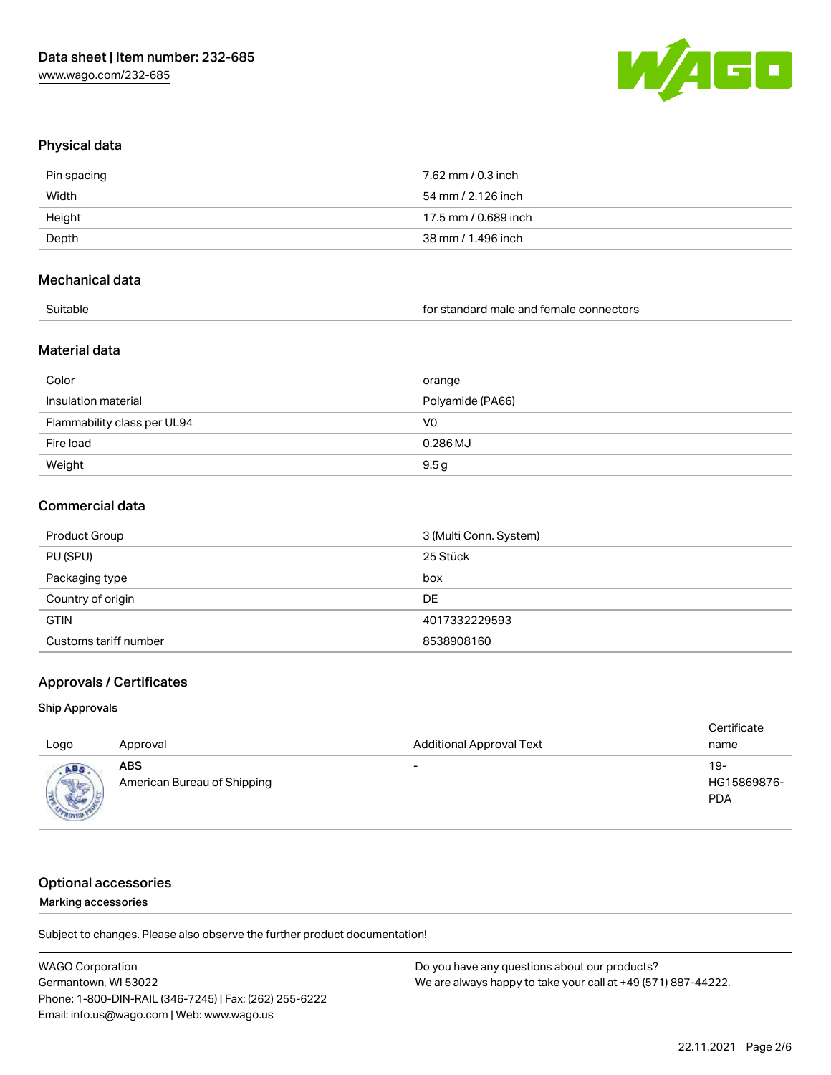

## Physical data

| Pin spacing | 7.62 mm / 0.3 inch   |
|-------------|----------------------|
| Width       | 54 mm / 2.126 inch   |
| Height      | 17.5 mm / 0.689 inch |
| Depth       | 38 mm / 1.496 inch   |
|             |                      |

### Mechanical data

| Suitable |  |
|----------|--|
|----------|--|

for standard male and female connectors

### Material data

| Color                       | orange           |
|-----------------------------|------------------|
| Insulation material         | Polyamide (PA66) |
| Flammability class per UL94 | V0               |
| Fire load                   | 0.286 MJ         |
| Weight                      | 9.5g             |

### Commercial data

| Product Group         | 3 (Multi Conn. System) |
|-----------------------|------------------------|
| PU (SPU)              | 25 Stück               |
| Packaging type        | box                    |
| Country of origin     | DE                     |
| <b>GTIN</b>           | 4017332229593          |
| Customs tariff number | 8538908160             |

## Approvals / Certificates

### Ship Approvals

| Logo                             | Approval                                  | <b>Additional Approval Text</b> | Certificate<br>name              |
|----------------------------------|-------------------------------------------|---------------------------------|----------------------------------|
| ABS<br><b>Allena</b><br>$R_{01}$ | <b>ABS</b><br>American Bureau of Shipping | $\overline{\phantom{0}}$        | 19-<br>HG15869876-<br><b>PDA</b> |

# Optional accessories

### Marking accessories

Subject to changes. Please also observe the further product documentation!

| <b>WAGO Corporation</b>                                | Do you have any questions about our products?                 |
|--------------------------------------------------------|---------------------------------------------------------------|
| Germantown, WI 53022                                   | We are always happy to take your call at +49 (571) 887-44222. |
| Phone: 1-800-DIN-RAIL (346-7245)   Fax: (262) 255-6222 |                                                               |
| Email: info.us@wago.com   Web: www.wago.us             |                                                               |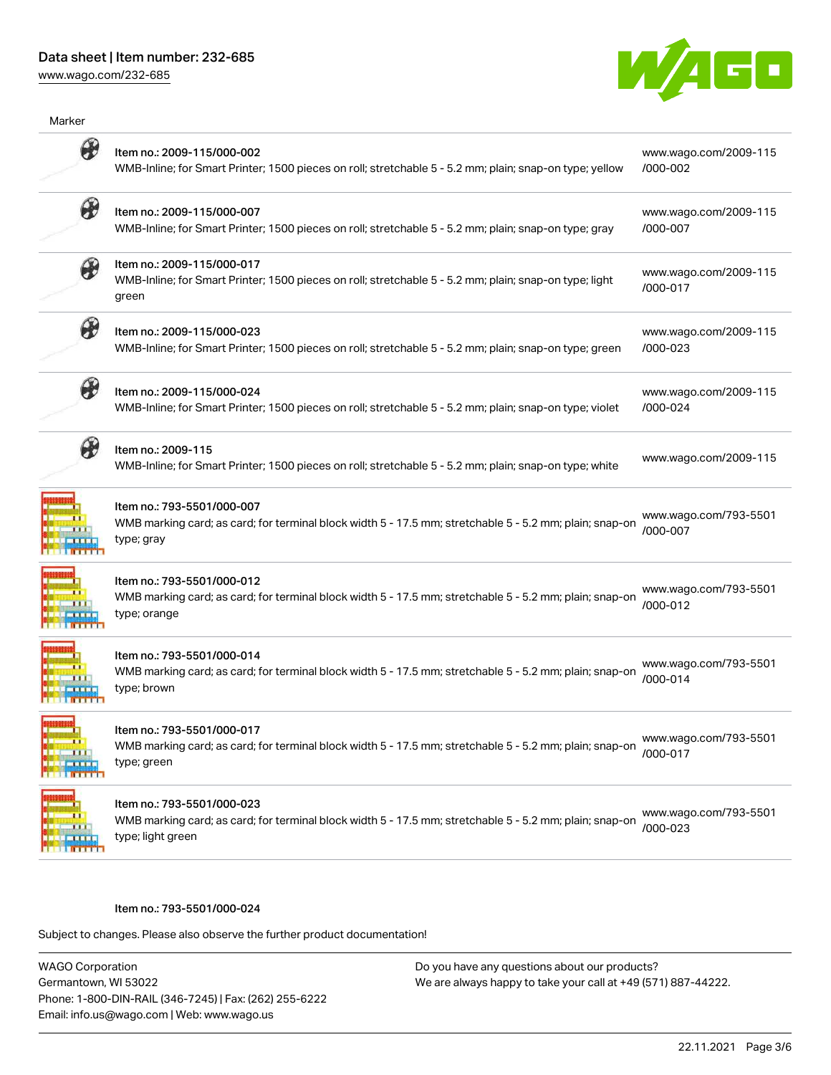## Data sheet | Item number: 232-685

[www.wago.com/232-685](http://www.wago.com/232-685)



| Marker                |                                                                                                                                                            |                                   |
|-----------------------|------------------------------------------------------------------------------------------------------------------------------------------------------------|-----------------------------------|
|                       | Item no.: 2009-115/000-002<br>WMB-Inline; for Smart Printer; 1500 pieces on roll; stretchable 5 - 5.2 mm; plain; snap-on type; yellow                      | www.wago.com/2009-115<br>/000-002 |
| ₩                     | Item no.: 2009-115/000-007<br>WMB-Inline; for Smart Printer; 1500 pieces on roll; stretchable 5 - 5.2 mm; plain; snap-on type; gray                        | www.wago.com/2009-115<br>/000-007 |
|                       | Item no.: 2009-115/000-017<br>WMB-Inline; for Smart Printer; 1500 pieces on roll; stretchable 5 - 5.2 mm; plain; snap-on type; light<br>green              | www.wago.com/2009-115<br>/000-017 |
| H                     | Item no.: 2009-115/000-023<br>WMB-Inline; for Smart Printer; 1500 pieces on roll; stretchable 5 - 5.2 mm; plain; snap-on type; green                       | www.wago.com/2009-115<br>/000-023 |
| B                     | Item no.: 2009-115/000-024<br>WMB-Inline; for Smart Printer; 1500 pieces on roll; stretchable 5 - 5.2 mm; plain; snap-on type; violet                      | www.wago.com/2009-115<br>/000-024 |
|                       | Item no.: 2009-115<br>WMB-Inline; for Smart Printer; 1500 pieces on roll; stretchable 5 - 5.2 mm; plain; snap-on type; white                               | www.wago.com/2009-115             |
|                       | Item no.: 793-5501/000-007<br>WMB marking card; as card; for terminal block width 5 - 17.5 mm; stretchable 5 - 5.2 mm; plain; snap-on<br>type; gray        | www.wago.com/793-5501<br>/000-007 |
|                       | Item no.: 793-5501/000-012<br>WMB marking card; as card; for terminal block width 5 - 17.5 mm; stretchable 5 - 5.2 mm; plain; snap-on<br>type; orange      | www.wago.com/793-5501<br>/000-012 |
|                       | Item no.: 793-5501/000-014<br>WMB marking card; as card; for terminal block width 5 - 17.5 mm; stretchable 5 - 5.2 mm; plain; snap-on<br>type; brown       | www.wago.com/793-5501<br>/000-014 |
| 111<br><b>KILLINE</b> | Item no.: 793-5501/000-017<br>WMB marking card; as card; for terminal block width 5 - 17.5 mm; stretchable 5 - 5.2 mm; plain; snap-on<br>type; green       | www.wago.com/793-5501<br>/000-017 |
|                       | Item no.: 793-5501/000-023<br>WMB marking card; as card; for terminal block width 5 - 17.5 mm; stretchable 5 - 5.2 mm; plain; snap-on<br>type; light green | www.wago.com/793-5501<br>/000-023 |
|                       |                                                                                                                                                            |                                   |

#### Item no.: 793-5501/000-024

Subject to changes. Please also observe the further product documentation!

WAGO Corporation Germantown, WI 53022 Phone: 1-800-DIN-RAIL (346-7245) | Fax: (262) 255-6222 Email: info.us@wago.com | Web: www.wago.us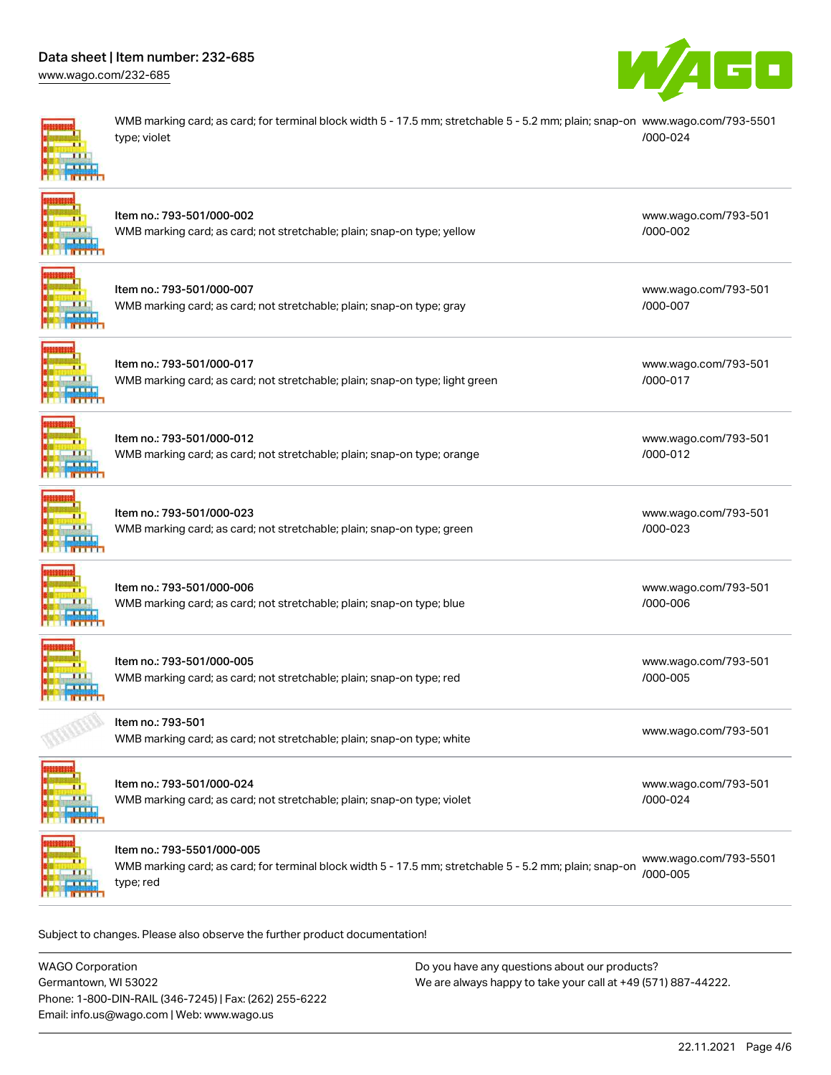# Data sheet | Item number: 232-685

[www.wago.com/232-685](http://www.wago.com/232-685)



[www.wago.com/793-501](http://www.wago.com/793-501/000-002)

[www.wago.com/793-501](http://www.wago.com/793-501/000-007)

[www.wago.com/793-501](http://www.wago.com/793-501/000-017)

[www.wago.com/793-501](http://www.wago.com/793-501/000-012)

[www.wago.com/793-501](http://www.wago.com/793-501/000-023)

[www.wago.com/793-501](http://www.wago.com/793-501/000-006)

[www.wago.com/793-501](http://www.wago.com/793-501/000-005)

[/000-002](http://www.wago.com/793-501/000-002)

[/000-007](http://www.wago.com/793-501/000-007)

[/000-017](http://www.wago.com/793-501/000-017)

[/000-012](http://www.wago.com/793-501/000-012)

[/000-023](http://www.wago.com/793-501/000-023)

[/000-006](http://www.wago.com/793-501/000-006)

[/000-005](http://www.wago.com/793-501/000-005)

WMB marking card; as card; for terminal block width 5 - 17.5 mm; stretchable 5 - 5.2 mm; plain; snap-on [www.wago.com/793-5501](http://www.wago.com/793-5501/000-024) type; violet [/000-024](http://www.wago.com/793-5501/000-024)

| Item no.: 793-501/000-002                                               |
|-------------------------------------------------------------------------|
| WMB marking card; as card; not stretchable; plain; snap-on type; yellow |

| Item no.: 793-501/000-007                                             |
|-----------------------------------------------------------------------|
| WMB marking card; as card; not stretchable; plain; snap-on type; gray |

Item no.: 793-501/000-017

WMB marking card; as card; not stretchable; plain; snap-on type; light green



Item no.: 793-501/000-012 WMB marking card; as card; not stretchable; plain; snap-on type; orange



Item no.: 793-501/000-023 WMB marking card; as card; not stretchable; plain; snap-on type; green

Item no.: 793-501/000-006 WMB marking card; as card; not stretchable; plain; snap-on type; blue **TELE ITTT** 



Item no.: 793-501/000-005 WMB marking card; as card; not stretchable; plain; snap-on type; red



Item no.: 793-501 [www.wago.com/793-501](http://www.wago.com/793-501)<br>WMB marking card; as card; not stretchable; plain; snap-on type; white



Item no.: 793-501/000-024 WMB marking card; as card; not stretchable; plain; snap-on type; violet [www.wago.com/793-501](http://www.wago.com/793-501/000-024) [/000-024](http://www.wago.com/793-501/000-024)



Item no.: 793-5501/000-005

WMB marking card; as card; for terminal block width 5 - 17.5 mm; stretchable 5 - 5.2 mm; plain; snap-on type; red [www.wago.com/793-5501](http://www.wago.com/793-5501/000-005) [/000-005](http://www.wago.com/793-5501/000-005)

Subject to changes. Please also observe the further product documentation!

WAGO Corporation Germantown, WI 53022 Phone: 1-800-DIN-RAIL (346-7245) | Fax: (262) 255-6222 Email: info.us@wago.com | Web: www.wago.us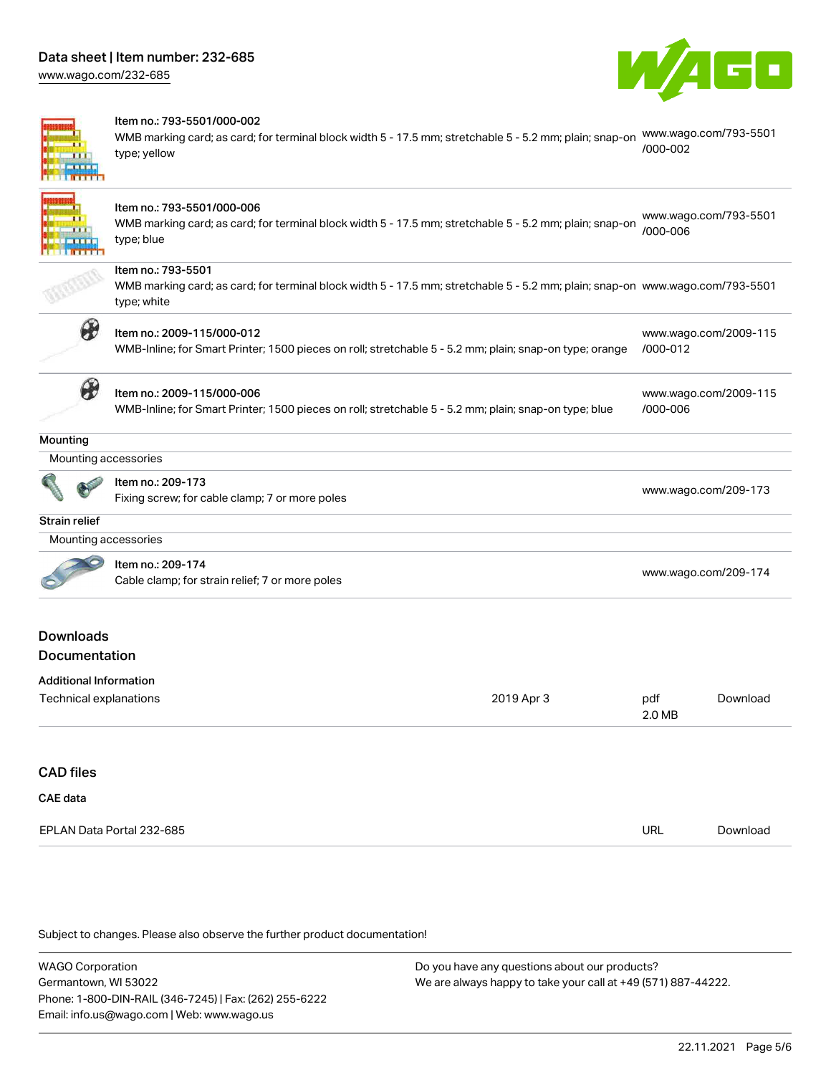**The Colombia** 

Item no.: 793-5501/000-002



| Item no.: 793-5501/000-006<br>www.wago.com/793-5501<br>WMB marking card; as card; for terminal block width 5 - 17.5 mm; stretchable 5 - 5.2 mm; plain; snap-on<br>/000-006<br>type; blue<br>Item no.: 793-5501<br>WMB marking card; as card; for terminal block width 5 - 17.5 mm; stretchable 5 - 5.2 mm; plain; snap-on www.wago.com/793-5501<br>type; white<br>₩<br>Item no.: 2009-115/000-012<br>www.wago.com/2009-115<br>/000-012<br>WMB-Inline; for Smart Printer; 1500 pieces on roll; stretchable 5 - 5.2 mm; plain; snap-on type; orange<br>$\partial\hspace{-1.2ex}\partial$<br>Item no.: 2009-115/000-006<br>www.wago.com/2009-115<br>/000-006<br>WMB-Inline; for Smart Printer; 1500 pieces on roll; stretchable 5 - 5.2 mm; plain; snap-on type; blue<br>Mounting accessories<br>Item no.: 209-173<br>www.wago.com/209-173<br>Fixing screw; for cable clamp; 7 or more poles<br>Mounting accessories<br>Item no.: 209-174<br>www.wago.com/209-174<br>Cable clamp; for strain relief; 7 or more poles<br><b>Downloads</b><br>Documentation<br><b>Additional Information</b><br>2019 Apr 3<br>Technical explanations<br>pdf<br>Download<br>2.0 MB<br><b>CAE</b> data<br>EPLAN Data Portal 232-685<br><b>URL</b><br>Download |                  | type; yellow | WMB marking card; as card; for terminal block width 5 - 17.5 mm; stretchable 5 - 5.2 mm; plain; snap-on | /000-002 | www.wago.com/793-5501 |
|----------------------------------------------------------------------------------------------------------------------------------------------------------------------------------------------------------------------------------------------------------------------------------------------------------------------------------------------------------------------------------------------------------------------------------------------------------------------------------------------------------------------------------------------------------------------------------------------------------------------------------------------------------------------------------------------------------------------------------------------------------------------------------------------------------------------------------------------------------------------------------------------------------------------------------------------------------------------------------------------------------------------------------------------------------------------------------------------------------------------------------------------------------------------------------------------------------------------------------------|------------------|--------------|---------------------------------------------------------------------------------------------------------|----------|-----------------------|
|                                                                                                                                                                                                                                                                                                                                                                                                                                                                                                                                                                                                                                                                                                                                                                                                                                                                                                                                                                                                                                                                                                                                                                                                                                        |                  |              |                                                                                                         |          |                       |
|                                                                                                                                                                                                                                                                                                                                                                                                                                                                                                                                                                                                                                                                                                                                                                                                                                                                                                                                                                                                                                                                                                                                                                                                                                        |                  |              |                                                                                                         |          |                       |
|                                                                                                                                                                                                                                                                                                                                                                                                                                                                                                                                                                                                                                                                                                                                                                                                                                                                                                                                                                                                                                                                                                                                                                                                                                        |                  |              |                                                                                                         |          |                       |
|                                                                                                                                                                                                                                                                                                                                                                                                                                                                                                                                                                                                                                                                                                                                                                                                                                                                                                                                                                                                                                                                                                                                                                                                                                        |                  |              |                                                                                                         |          |                       |
|                                                                                                                                                                                                                                                                                                                                                                                                                                                                                                                                                                                                                                                                                                                                                                                                                                                                                                                                                                                                                                                                                                                                                                                                                                        | Mounting         |              |                                                                                                         |          |                       |
|                                                                                                                                                                                                                                                                                                                                                                                                                                                                                                                                                                                                                                                                                                                                                                                                                                                                                                                                                                                                                                                                                                                                                                                                                                        |                  |              |                                                                                                         |          |                       |
|                                                                                                                                                                                                                                                                                                                                                                                                                                                                                                                                                                                                                                                                                                                                                                                                                                                                                                                                                                                                                                                                                                                                                                                                                                        |                  |              |                                                                                                         |          |                       |
|                                                                                                                                                                                                                                                                                                                                                                                                                                                                                                                                                                                                                                                                                                                                                                                                                                                                                                                                                                                                                                                                                                                                                                                                                                        | Strain relief    |              |                                                                                                         |          |                       |
|                                                                                                                                                                                                                                                                                                                                                                                                                                                                                                                                                                                                                                                                                                                                                                                                                                                                                                                                                                                                                                                                                                                                                                                                                                        |                  |              |                                                                                                         |          |                       |
|                                                                                                                                                                                                                                                                                                                                                                                                                                                                                                                                                                                                                                                                                                                                                                                                                                                                                                                                                                                                                                                                                                                                                                                                                                        |                  |              |                                                                                                         |          |                       |
|                                                                                                                                                                                                                                                                                                                                                                                                                                                                                                                                                                                                                                                                                                                                                                                                                                                                                                                                                                                                                                                                                                                                                                                                                                        |                  |              |                                                                                                         |          |                       |
|                                                                                                                                                                                                                                                                                                                                                                                                                                                                                                                                                                                                                                                                                                                                                                                                                                                                                                                                                                                                                                                                                                                                                                                                                                        |                  |              |                                                                                                         |          |                       |
|                                                                                                                                                                                                                                                                                                                                                                                                                                                                                                                                                                                                                                                                                                                                                                                                                                                                                                                                                                                                                                                                                                                                                                                                                                        |                  |              |                                                                                                         |          |                       |
|                                                                                                                                                                                                                                                                                                                                                                                                                                                                                                                                                                                                                                                                                                                                                                                                                                                                                                                                                                                                                                                                                                                                                                                                                                        | <b>CAD files</b> |              |                                                                                                         |          |                       |
|                                                                                                                                                                                                                                                                                                                                                                                                                                                                                                                                                                                                                                                                                                                                                                                                                                                                                                                                                                                                                                                                                                                                                                                                                                        |                  |              |                                                                                                         |          |                       |
|                                                                                                                                                                                                                                                                                                                                                                                                                                                                                                                                                                                                                                                                                                                                                                                                                                                                                                                                                                                                                                                                                                                                                                                                                                        |                  |              |                                                                                                         |          |                       |

Subject to changes. Please also observe the further product documentation!

WAGO Corporation Germantown, WI 53022 Phone: 1-800-DIN-RAIL (346-7245) | Fax: (262) 255-6222 Email: info.us@wago.com | Web: www.wago.us Do you have any questions about our products? We are always happy to take your call at +49 (571) 887-44222.